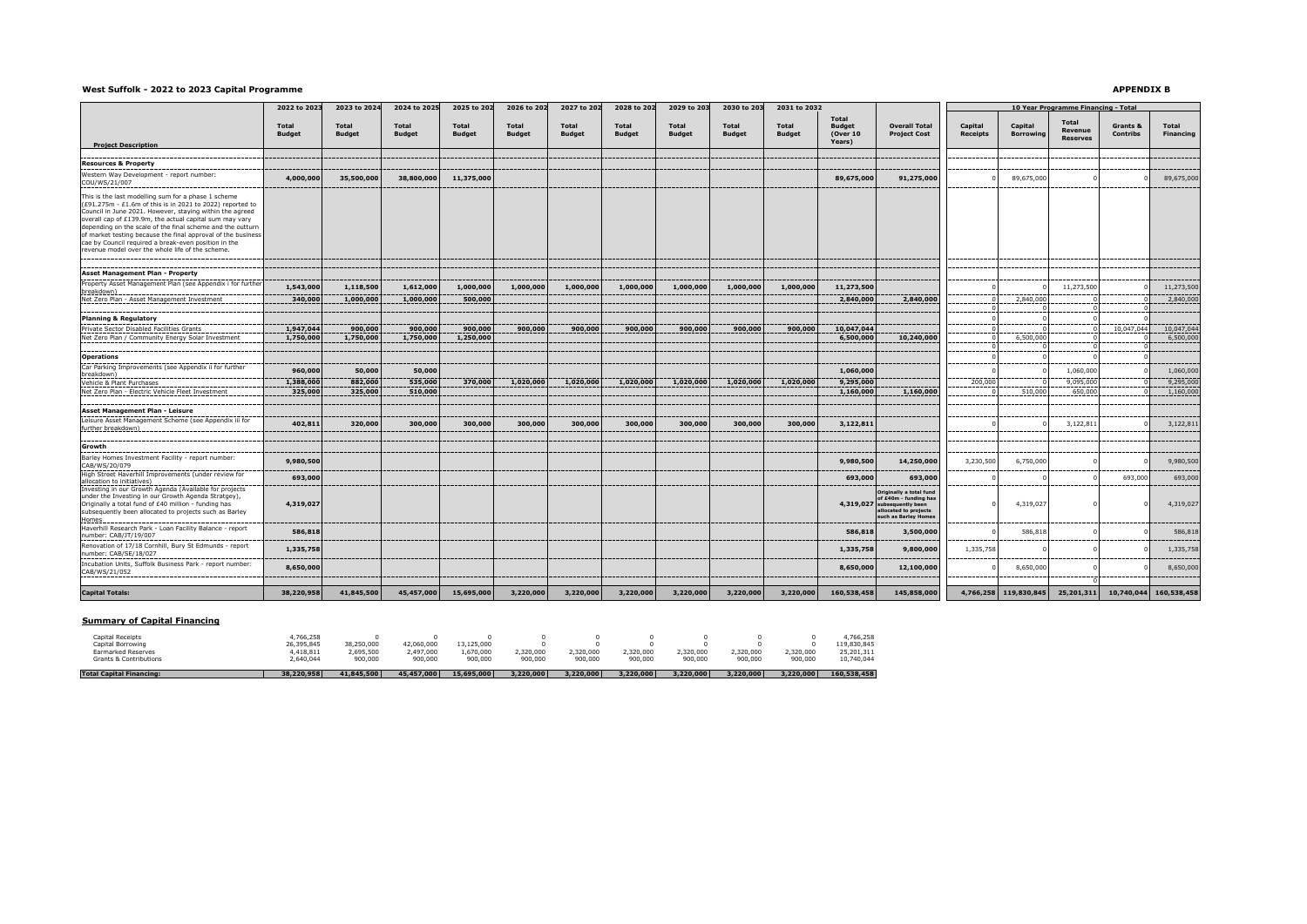#### **West Suffolk - 2022 to 2023 Capital Programme**

### **APPENDIX B**

|                                                                                                                                                                                                                                                                                                                                                                                                                               | 2022 to 2023                  | 2023 to 2024           | 2024 to 2025                  | 2025 to 202                   | 2026 to 202            | 2027 to 202                   | 2028 to 202            | 2029 to 203                   | 2030 to 203                   | 2031 to 2032                  |                                           |                                                                                                                                  | 10 Year Programme Financing - Total |                             |                                            |                             |                    |  |
|-------------------------------------------------------------------------------------------------------------------------------------------------------------------------------------------------------------------------------------------------------------------------------------------------------------------------------------------------------------------------------------------------------------------------------|-------------------------------|------------------------|-------------------------------|-------------------------------|------------------------|-------------------------------|------------------------|-------------------------------|-------------------------------|-------------------------------|-------------------------------------------|----------------------------------------------------------------------------------------------------------------------------------|-------------------------------------|-----------------------------|--------------------------------------------|-----------------------------|--------------------|--|
|                                                                                                                                                                                                                                                                                                                                                                                                                               | <b>Total</b><br><b>Budget</b> | Total<br><b>Budget</b> | <b>Total</b><br><b>Budget</b> | <b>Total</b><br><b>Budget</b> | Total<br><b>Budget</b> | <b>Total</b><br><b>Budget</b> | Total<br><b>Budget</b> | <b>Total</b><br><b>Budget</b> | <b>Total</b><br><b>Budget</b> | <b>Total</b><br><b>Budget</b> | <b>Total</b><br><b>Budget</b><br>(Over 10 | <b>Overall Total</b><br><b>Project Cost</b>                                                                                      | Capital<br><b>Receipts</b>          | Capital<br><b>Borrowing</b> | <b>Total</b><br>Revenue<br><b>Reserves</b> | Grants &<br><b>Contribs</b> | Total<br>Financing |  |
| <b>Project Description</b>                                                                                                                                                                                                                                                                                                                                                                                                    |                               |                        |                               |                               |                        |                               |                        |                               |                               |                               | Years)                                    |                                                                                                                                  |                                     |                             |                                            |                             |                    |  |
| <b>Resources &amp; Property</b>                                                                                                                                                                                                                                                                                                                                                                                               |                               |                        |                               |                               |                        |                               |                        |                               |                               |                               |                                           |                                                                                                                                  |                                     |                             |                                            |                             |                    |  |
| Western Way Development - report number:                                                                                                                                                                                                                                                                                                                                                                                      |                               |                        |                               |                               |                        |                               |                        |                               |                               |                               |                                           |                                                                                                                                  |                                     |                             |                                            |                             |                    |  |
| COU/WS/21/007                                                                                                                                                                                                                                                                                                                                                                                                                 | 4,000,000                     | 35,500,000             | 38,800,000                    | 11,375,000                    |                        |                               |                        |                               |                               |                               | 89,675,000                                | 91,275,000                                                                                                                       |                                     | 89,675,000                  |                                            |                             | 89,675,000         |  |
| This is the last modelling sum for a phase 1 scheme<br>(£91.275m - £1.6m of this is in 2021 to 2022) reported to<br>Council in June 2021. However, staying within the agreed<br>overall cap of £139.9m, the actual capital sum may vary<br>depending on the scale of the final scheme and the outturn<br>of market testing because the final approval of the business<br>cae by Council required a break-even position in the |                               |                        |                               |                               |                        |                               |                        |                               |                               |                               |                                           |                                                                                                                                  |                                     |                             |                                            |                             |                    |  |
| revenue model over the whole life of the scheme.                                                                                                                                                                                                                                                                                                                                                                              |                               |                        |                               |                               |                        |                               |                        |                               |                               |                               |                                           |                                                                                                                                  |                                     |                             |                                            |                             |                    |  |
| <b>Asset Management Plan - Property</b>                                                                                                                                                                                                                                                                                                                                                                                       |                               |                        |                               |                               |                        |                               |                        |                               |                               |                               |                                           |                                                                                                                                  |                                     |                             |                                            |                             |                    |  |
| Property Asset Management Plan (see Appendix i for further                                                                                                                                                                                                                                                                                                                                                                    | 1,543,000                     | 1,118,500              | 1,612,000                     | 1,000,000                     | 1,000,000              | 1,000,000                     | 1,000,000              | 1,000,000                     | 1,000,000                     | 1,000,000                     | 11,273,500                                |                                                                                                                                  |                                     |                             | 11,273,500                                 |                             | 11,273,500         |  |
| breakdown)<br>Net Zero Plan - Asset Management Investment                                                                                                                                                                                                                                                                                                                                                                     | 340,000                       | 1,000,000              | 1,000,000                     | 500,000                       |                        |                               |                        |                               |                               |                               | 2,840,000                                 | 2,840,000                                                                                                                        |                                     | 2,840,000                   |                                            |                             | 2,840,000          |  |
|                                                                                                                                                                                                                                                                                                                                                                                                                               |                               |                        |                               |                               |                        |                               |                        |                               |                               |                               |                                           |                                                                                                                                  |                                     |                             |                                            |                             |                    |  |
| <b>Planning &amp; Regulatory</b>                                                                                                                                                                                                                                                                                                                                                                                              |                               |                        |                               |                               |                        |                               |                        |                               |                               |                               |                                           |                                                                                                                                  |                                     |                             |                                            |                             |                    |  |
| Private Sector Disabled Facilities Grants                                                                                                                                                                                                                                                                                                                                                                                     | 1,947,044                     | 900,000                | 900,000                       | 900,000                       | 900,000                | 900,000                       | 900,000                | 900,000                       | 900,000                       | 900,000                       | 10,047,044                                |                                                                                                                                  |                                     |                             |                                            | 10,047,044                  | 10,047,044         |  |
| Net Zero Plan / Community Energy Solar Investment                                                                                                                                                                                                                                                                                                                                                                             | 1,750,000                     | 1,750,000              | 1,750,000                     | 1,250,000                     |                        |                               |                        |                               |                               |                               | 6,500,000                                 | 10,240,000                                                                                                                       |                                     | 6,500,000                   |                                            |                             | 6,500,000          |  |
|                                                                                                                                                                                                                                                                                                                                                                                                                               |                               |                        |                               |                               |                        |                               |                        |                               |                               |                               |                                           |                                                                                                                                  |                                     |                             |                                            |                             |                    |  |
| <b>Operations</b>                                                                                                                                                                                                                                                                                                                                                                                                             |                               |                        |                               |                               |                        |                               |                        |                               |                               |                               |                                           |                                                                                                                                  |                                     |                             |                                            |                             |                    |  |
| Car Parking Improvements (see Appendix ii for further<br>breakdown                                                                                                                                                                                                                                                                                                                                                            | 960,000                       | 50,000                 | 50,000                        |                               |                        |                               |                        |                               |                               |                               | 1,060,000                                 |                                                                                                                                  |                                     |                             | 1,060,000                                  |                             | 1,060,000          |  |
| Vehicle & Plant Purchases                                                                                                                                                                                                                                                                                                                                                                                                     | 1,388,000                     | 882,000                | 535,000                       | 370,000                       | 1,020,000              | 1,020,000                     | 1,020,000              | 1,020,000                     | 1,020,000                     | 1,020,000                     | 9,295,000                                 |                                                                                                                                  | 200,000                             |                             | 9,095,000                                  |                             | 9,295,000          |  |
| Net Zero Plan - Electric Vehicle Fleet Investment                                                                                                                                                                                                                                                                                                                                                                             | 325,000                       | 325,000                | 510,000                       |                               |                        |                               |                        |                               |                               |                               | 1,160,000                                 | 1,160,000                                                                                                                        |                                     | 510,000                     | 650,000                                    |                             | 1,160,000          |  |
| Asset Management Plan - Leisure                                                                                                                                                                                                                                                                                                                                                                                               |                               |                        |                               |                               |                        |                               |                        |                               |                               |                               |                                           |                                                                                                                                  |                                     |                             |                                            |                             |                    |  |
| Leisure Asset Management Scheme (see Appendix iii for<br>further breakdown)                                                                                                                                                                                                                                                                                                                                                   | 402,811                       | 320,000                | 300,000                       | 300,000                       | 300,000                | 300,000                       | 300,000                | 300,000                       | 300,000                       | 300,000                       | 3,122,811                                 |                                                                                                                                  |                                     |                             | 3,122,811                                  |                             | 3,122,811          |  |
| Growth                                                                                                                                                                                                                                                                                                                                                                                                                        |                               |                        |                               |                               |                        |                               |                        |                               |                               |                               |                                           |                                                                                                                                  |                                     |                             |                                            |                             |                    |  |
| Barley Homes Investment Facility - report number:<br>CAB/WS/20/079                                                                                                                                                                                                                                                                                                                                                            | 9,980,500                     |                        |                               |                               |                        |                               |                        |                               |                               |                               | 9,980,500                                 | 14,250,000                                                                                                                       | 3,230,500                           | 6,750,000                   |                                            |                             | 9,980,500          |  |
| High Street Haverhill Improvements (under review for<br>allocation to initiatives)                                                                                                                                                                                                                                                                                                                                            | 693,000                       |                        |                               |                               |                        |                               |                        |                               |                               |                               | 693,000                                   | 693,000                                                                                                                          |                                     |                             |                                            | 693,000                     | 693,000            |  |
| Investing in our Growth Agenda (Available for projects<br>under the Investing in our Growth Agenda Stratgey),<br>Originally a total fund of £40 million - funding has<br>subsequently been allocated to projects such as Barley<br><b>Homes</b>                                                                                                                                                                               | 4,319,027                     |                        |                               |                               |                        |                               |                        |                               |                               |                               |                                           | Originally a total fund<br>of £40m - funding has<br>4,319,027 subsequently been<br>allocated to projects<br>such as Barley Homes |                                     | 4,319,027                   |                                            |                             | 4,319,027          |  |
| Haverhill Research Park - Loan Facility Balance - report<br>number: CAB/JT/19/007                                                                                                                                                                                                                                                                                                                                             | 586,818                       |                        |                               |                               |                        |                               |                        |                               |                               |                               | 586,818                                   | 3,500,000                                                                                                                        |                                     | 586,818                     |                                            |                             | 586,818            |  |
| Renovation of 17/18 Cornhill, Bury St Edmunds - report<br>number: CAB/SE/18/027                                                                                                                                                                                                                                                                                                                                               | 1,335,758                     |                        |                               |                               |                        |                               |                        |                               |                               |                               | 1,335,758                                 | 9,800,000                                                                                                                        | 1,335,758                           |                             |                                            |                             | 1,335,758          |  |
| Incubation Units, Suffolk Business Park - report number:<br>CAB/WS/21/052                                                                                                                                                                                                                                                                                                                                                     | 8,650,000                     |                        |                               |                               |                        |                               |                        |                               |                               |                               | 8,650,000                                 | 12,100,000                                                                                                                       |                                     | 8,650,000                   |                                            |                             | 8,650,000          |  |
| <b>Capital Totals:</b>                                                                                                                                                                                                                                                                                                                                                                                                        | 38,220,958                    | 41,845,500             | 45,457,000                    | 15,695,000                    | 3,220,000              | 3,220,000                     | 3,220,000              | 3,220,000                     | 3,220,000                     | 3,220,000                     | 160,538,458                               | 145,858,000                                                                                                                      | 4,766,258                           | 119,830,845                 | 25,201,311                                 | 10,740,044                  | 160,538,458        |  |

## **Summary of Capital Financing**

| <b>Total Capital Financing:</b> | 38,220,958 | 41.845.500 | 45,457,000 | 15,695,000 | 3,220,000 | 3,220,000 | 3,220,000 | 3,220,000 | 3,220,000 | 3.220.000 | 160.538.458 |
|---------------------------------|------------|------------|------------|------------|-----------|-----------|-----------|-----------|-----------|-----------|-------------|
| Grants & Contributions          | 2.640.044  | 900,000    | 900,000    | 900,000    | 900,000   | 900,000   | 900,000   | 900,000   | 900,000   | 900,000   | 10.740.044  |
| <b>Earmarked Reserves</b>       | 4.418.811  | 2.695.500  | 2,497,000  | L.670.000  | 1,320,000 | 2.320.000 | 2.320.000 | 1,320,000 | 2,320,000 | .320.000  | 25.201.311  |
| Capital Borrowing               | 26.395.845 | 38,250,000 | 42.060.000 | 13.125.000 |           |           |           |           |           |           | 119.830.845 |
| Capital Receipts                | +.766.258  |            |            |            |           |           |           |           |           |           | 4.766.258   |
|                                 |            |            |            |            |           |           |           |           |           |           |             |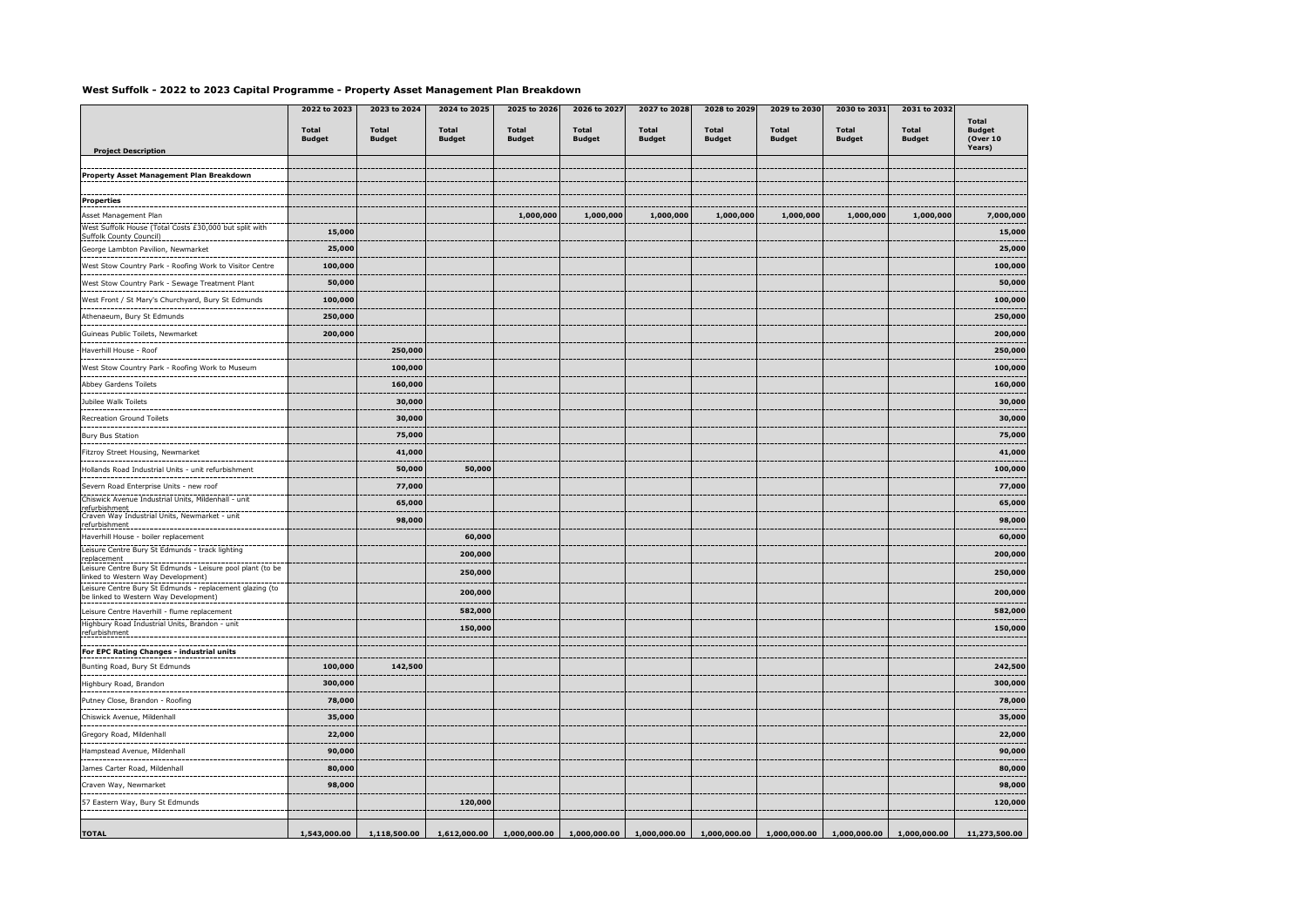## **West Suffolk - 2022 to 2023 Capital Programme - Property Asset Management Plan Breakdown**

|                                                                                                                 | 2022 to 2023                  | 2023 to 2024                  | 2024 to 2025                  | 2025 to 2026           | 2026 to 2027                  | 2027 to 2028                  | 2028 to 2029                                                | 2029 to 2030                  | 2030 to 2031                  | 2031 to 2032                  |                                    |
|-----------------------------------------------------------------------------------------------------------------|-------------------------------|-------------------------------|-------------------------------|------------------------|-------------------------------|-------------------------------|-------------------------------------------------------------|-------------------------------|-------------------------------|-------------------------------|------------------------------------|
|                                                                                                                 | <b>Total</b><br><b>Budget</b> | <b>Total</b><br><b>Budget</b> | <b>Total</b><br><b>Budget</b> | Total<br><b>Budget</b> | <b>Total</b><br><b>Budget</b> | <b>Total</b><br><b>Budget</b> | <b>Total</b><br><b>Budget</b>                               | <b>Total</b><br><b>Budget</b> | <b>Total</b><br><b>Budget</b> | <b>Total</b><br><b>Budget</b> | Total<br><b>Budget</b><br>(Over 10 |
| <b>Project Description</b>                                                                                      |                               |                               |                               |                        |                               |                               |                                                             |                               |                               |                               | Years)                             |
| Property Asset Management Plan Breakdown                                                                        |                               |                               |                               |                        |                               |                               |                                                             |                               |                               |                               |                                    |
|                                                                                                                 |                               |                               |                               |                        |                               |                               |                                                             |                               |                               |                               |                                    |
| <b>Properties</b>                                                                                               |                               |                               |                               |                        |                               |                               |                                                             |                               |                               |                               |                                    |
| Asset Management Plan<br>West Suffolk House (Total Costs £30,000 but split with                                 |                               |                               |                               | 1,000,000              | 1,000,000                     | 1,000,000                     | 1,000,000                                                   | 1,000,000                     | 1,000,000                     | 1,000,000                     | 7,000,000                          |
| <b>Suffolk County Council)</b>                                                                                  | 15,000                        |                               |                               |                        |                               |                               |                                                             |                               |                               |                               | 15,000                             |
| George Lambton Pavilion, Newmarket                                                                              | 25,000                        |                               |                               |                        |                               |                               |                                                             |                               |                               |                               | 25,000                             |
| West Stow Country Park - Roofing Work to Visitor Centre                                                         | 100,000                       |                               |                               |                        |                               |                               |                                                             |                               |                               |                               | 100,000                            |
| West Stow Country Park - Sewage Treatment Plant                                                                 | 50,000                        |                               |                               |                        |                               |                               |                                                             |                               |                               |                               | 50,000                             |
| West Front / St Mary's Churchyard, Bury St Edmunds                                                              | 100,000                       |                               |                               |                        |                               |                               |                                                             |                               |                               |                               | 100,000                            |
| Athenaeum, Bury St Edmunds                                                                                      | 250,000                       |                               |                               |                        |                               |                               |                                                             |                               |                               |                               | 250,000                            |
| Guineas Public Toilets, Newmarket                                                                               | 200,000                       |                               |                               |                        |                               |                               |                                                             |                               |                               |                               | 200,000                            |
| Haverhill House - Roof                                                                                          |                               | 250,000                       |                               |                        |                               |                               |                                                             |                               |                               |                               | 250,000                            |
| West Stow Country Park - Roofing Work to Museum                                                                 |                               | 100,000                       |                               |                        |                               |                               |                                                             |                               |                               |                               | 100,000                            |
| Abbey Gardens Toilets                                                                                           |                               | 160,000                       |                               |                        |                               |                               |                                                             |                               |                               |                               | 160,000                            |
| Jubilee Walk Toilets                                                                                            |                               | 30,000                        |                               |                        |                               |                               |                                                             |                               |                               |                               | 30,000                             |
| Recreation Ground Toilets                                                                                       |                               | 30,000                        |                               |                        |                               |                               |                                                             |                               |                               |                               | 30,000                             |
| <b>Bury Bus Station</b>                                                                                         |                               | 75,000                        |                               |                        |                               |                               |                                                             |                               |                               |                               | 75,000                             |
| Fitzroy Street Housing, Newmarket                                                                               |                               | 41,000                        |                               |                        |                               |                               |                                                             |                               |                               |                               | 41,000                             |
| Hollands Road Industrial Units - unit refurbishment                                                             |                               | 50,000                        | 50,000                        |                        |                               |                               |                                                             |                               |                               |                               | 100,000                            |
| Severn Road Enterprise Units - new roof                                                                         |                               | 77,000                        |                               |                        |                               |                               |                                                             |                               |                               |                               | 77,000                             |
| Chiswick Avenue Industrial Units, Mildenhall - unit                                                             |                               | 65,000                        |                               |                        |                               |                               |                                                             |                               |                               |                               | 65,000                             |
| refurbishment<br>Craven Way Industrial Units, Newmarket - unit                                                  |                               | 98,000                        |                               |                        |                               |                               |                                                             |                               |                               |                               | 98,000                             |
| refurbishment<br>Haverhill House - boiler replacement                                                           |                               |                               | 60,000                        |                        |                               |                               |                                                             |                               |                               |                               | 60,000                             |
| Leisure Centre Bury St Edmunds - track lighting                                                                 |                               |                               | 200,000                       |                        |                               |                               |                                                             |                               |                               |                               | 200,000                            |
| replacement<br>Leisure Centre Bury St Edmunds - Leisure pool plant (to be<br>linked to Western Way Development) |                               |                               | 250,000                       |                        |                               |                               |                                                             |                               |                               |                               | 250,000                            |
| Leisure Centre Bury St Edmunds - replacement glazing (to                                                        |                               |                               | 200,000                       |                        |                               |                               |                                                             |                               |                               |                               | 200,000                            |
| be linked to Western Way Development)                                                                           |                               |                               |                               |                        |                               |                               |                                                             |                               |                               |                               |                                    |
| Leisure Centre Haverhill - flume replacement<br>Highbury Road Industrial Units, Brandon - unit                  |                               |                               | 582,000                       |                        |                               |                               |                                                             |                               |                               |                               | 582,000                            |
| refurbishment                                                                                                   |                               |                               | 150,000                       |                        |                               |                               |                                                             |                               |                               |                               | 150,000                            |
| For EPC Rating Changes - industrial units                                                                       |                               |                               |                               |                        |                               |                               |                                                             |                               |                               |                               |                                    |
| Bunting Road, Bury St Edmunds                                                                                   | 100,000                       | 142,500                       |                               |                        |                               |                               |                                                             |                               |                               |                               | 242,500                            |
| Highbury Road, Brandon                                                                                          | 300,000                       |                               |                               |                        |                               |                               |                                                             |                               |                               |                               | 300,000                            |
| Putney Close, Brandon - Roofing                                                                                 | 78,000                        |                               |                               |                        |                               |                               |                                                             |                               |                               |                               | 78,000                             |
| Chiswick Avenue, Mildenhall                                                                                     | 35,000                        |                               |                               |                        |                               |                               |                                                             |                               |                               |                               | 35,000                             |
| Gregory Road, Mildenhall                                                                                        | 22,000                        |                               |                               |                        |                               |                               |                                                             |                               |                               |                               | 22,000                             |
| Hampstead Avenue, Mildenhall                                                                                    | 90,000                        |                               |                               |                        |                               |                               |                                                             |                               |                               |                               | 90,000                             |
| James Carter Road, Mildenhall                                                                                   | 80,000                        |                               |                               |                        |                               |                               |                                                             |                               |                               |                               | 80,000                             |
| Craven Way, Newmarket                                                                                           | 98,000                        |                               |                               |                        |                               |                               |                                                             |                               |                               |                               | 98,000                             |
| 57 Eastern Way, Bury St Edmunds                                                                                 |                               |                               | 120,000                       |                        |                               |                               |                                                             |                               |                               |                               | 120,000                            |
|                                                                                                                 |                               |                               |                               |                        |                               |                               |                                                             |                               |                               |                               |                                    |
| <b>TOTAL</b>                                                                                                    | 1,543,000.00                  | 1,118,500.00                  | 1,612,000.00                  |                        |                               |                               | $1,000,000.00$ $1,000,000.00$ $1,000,000.00$ $1,000,000.00$ | 1,000,000.00                  | 1,000,000.00                  |                               | 1,000,000.00 11,273,500.00         |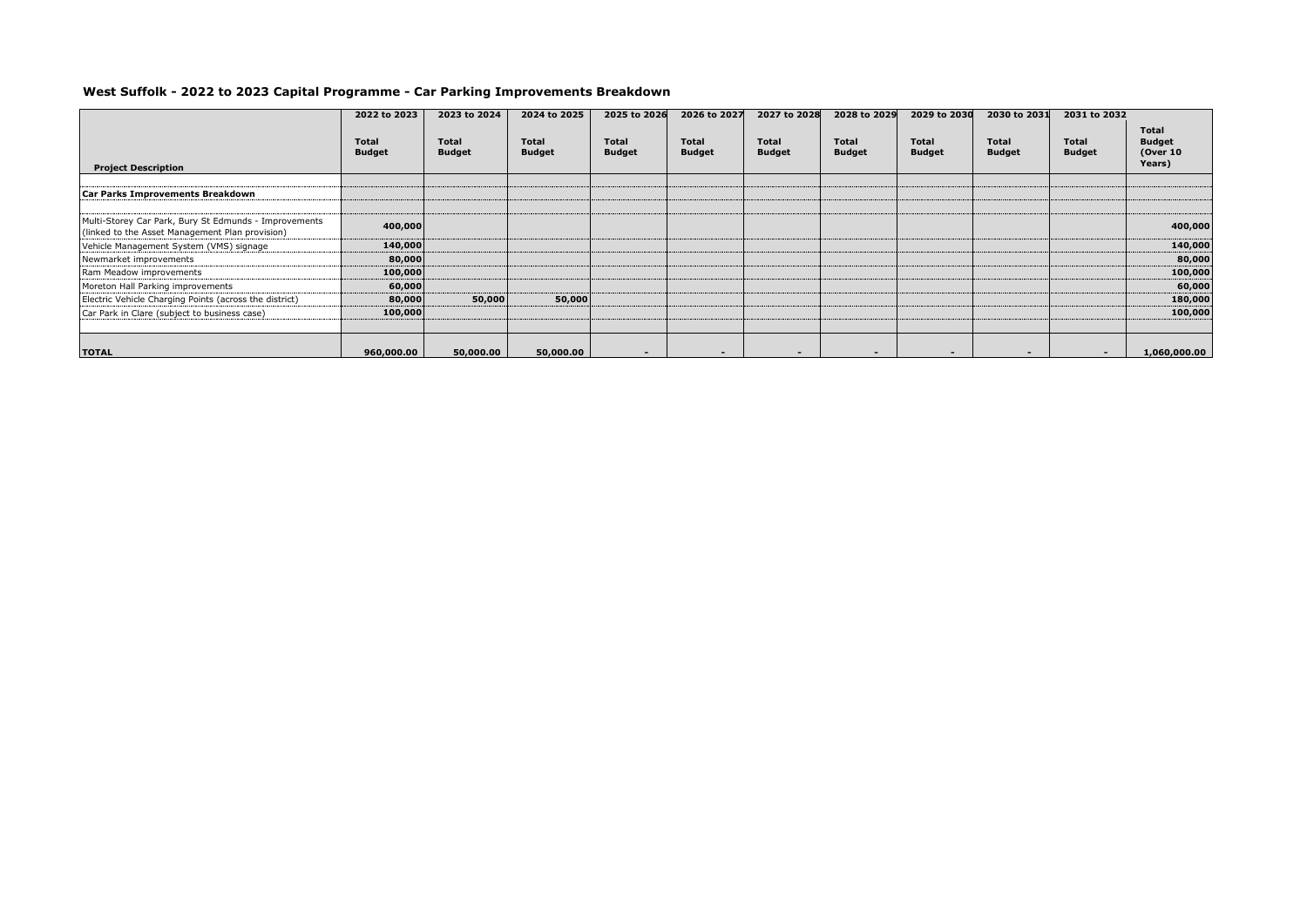# **West Suffolk - 2022 to 2023 Capital Programme - Car Parking Improvements Breakdown**

|                                                                                                          | 2022 to 2023                  | 2023 to 2024           | 2024 to 2025           | 2025 to 2026                  | 2026 to 2027                  | 2027 to 2028           | 2028 to 2029           | 2029 to 2030                  | 2030 to 2031             | 2031 to 2032                  |                                                      |
|----------------------------------------------------------------------------------------------------------|-------------------------------|------------------------|------------------------|-------------------------------|-------------------------------|------------------------|------------------------|-------------------------------|--------------------------|-------------------------------|------------------------------------------------------|
| <b>Project Description</b>                                                                               | <b>Total</b><br><b>Budget</b> | Total<br><b>Budget</b> | Total<br><b>Budget</b> | <b>Total</b><br><b>Budget</b> | <b>Total</b><br><b>Budget</b> | Total<br><b>Budget</b> | Total<br><b>Budget</b> | <b>Total</b><br><b>Budget</b> | Total<br><b>Budget</b>   | <b>Total</b><br><b>Budget</b> | <b>Total</b><br><b>Budget</b><br>(Over 10)<br>Years) |
|                                                                                                          |                               |                        |                        |                               |                               |                        |                        |                               |                          |                               |                                                      |
| Car Parks Improvements Breakdown                                                                         |                               |                        |                        |                               |                               |                        |                        |                               |                          |                               |                                                      |
| Multi-Storey Car Park, Bury St Edmunds - Improvements<br>(linked to the Asset Management Plan provision) | 400,000                       |                        |                        |                               |                               |                        |                        |                               |                          |                               | 400,000                                              |
| Vehicle Management System (VMS) signage                                                                  | 140,000                       |                        |                        |                               |                               |                        |                        |                               |                          |                               | 140,000                                              |
| Newmarket improvements                                                                                   | 80,000                        |                        |                        |                               |                               |                        |                        |                               |                          |                               | 80,000                                               |
| Ram Meadow improvements                                                                                  | 100,000                       |                        |                        |                               |                               |                        |                        |                               |                          |                               | 100,000                                              |
| Moreton Hall Parking improvements                                                                        | 60,000                        |                        |                        |                               |                               |                        |                        |                               |                          |                               | 60,000                                               |
| Electric Vehicle Charging Points (across the district)                                                   | 80,000                        | 50,000                 | 50,000                 |                               |                               |                        |                        |                               |                          |                               | 180,000                                              |
| Car Park in Clare (subject to business case)                                                             | 100,000                       |                        |                        |                               |                               |                        |                        |                               |                          |                               | 100,000                                              |
|                                                                                                          |                               |                        |                        |                               |                               |                        |                        |                               |                          |                               |                                                      |
| <b>TOTAL</b>                                                                                             | 960,000.00                    | 50,000.00              | 50,000.00              | $\sim$                        |                               |                        |                        |                               | $\overline{\phantom{0}}$ | $\sim$                        | 1,060,000.00                                         |